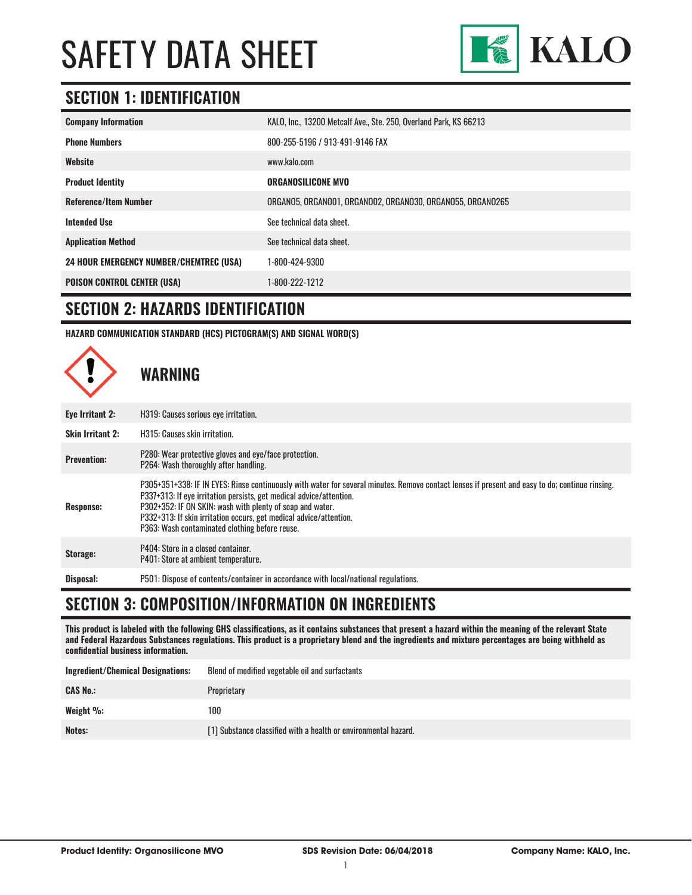

# **SECTION 1: IDENTIFICATION**

| <b>Company Information</b>                     | KALO, Inc., 13200 Metcalf Ave., Ste. 250, Overland Park, KS 66213 |
|------------------------------------------------|-------------------------------------------------------------------|
| <b>Phone Numbers</b>                           | 800-255-5196 / 913-491-9146 FAX                                   |
| Website                                        | www.kalo.com                                                      |
| <b>Product Identity</b>                        | <b>ORGANOSILICONE MVO</b>                                         |
| <b>Reference/Item Number</b>                   | ORGANO5, ORGANOO1, ORGANOO2, ORGANO30, ORGANO55, ORGANO265        |
| <b>Intended Use</b>                            | See technical data sheet.                                         |
| <b>Application Method</b>                      | See technical data sheet.                                         |
| <b>24 HOUR EMERGENCY NUMBER/CHEMTREC (USA)</b> | 1-800-424-9300                                                    |
| <b>POISON CONTROL CENTER (USA)</b>             | 1-800-222-1212                                                    |

### **SECTION 2: HAZARDS IDENTIFICATION**

**HAZARD COMMUNICATION STANDARD (HCS) PICTOGRAM(S) AND SIGNAL WORD(S)**



# **SECTION 3: COMPOSITION/INFORMATION ON INGREDIENTS**

**This product is labeled with the following GHS classifications, as it contains substances that present a hazard within the meaning of the relevant State and Federal Hazardous Substances regulations. This product is a proprietary blend and the ingredients and mixture percentages are being withheld as confidential business information.**

| <b>Ingredient/Chemical Designations:</b> | Blend of modified vegetable oil and surfactants                 |
|------------------------------------------|-----------------------------------------------------------------|
| <b>CAS No.:</b>                          | Proprietary                                                     |
| Weight %:                                | 100                                                             |
| Notes:                                   | [1] Substance classified with a health or environmental hazard. |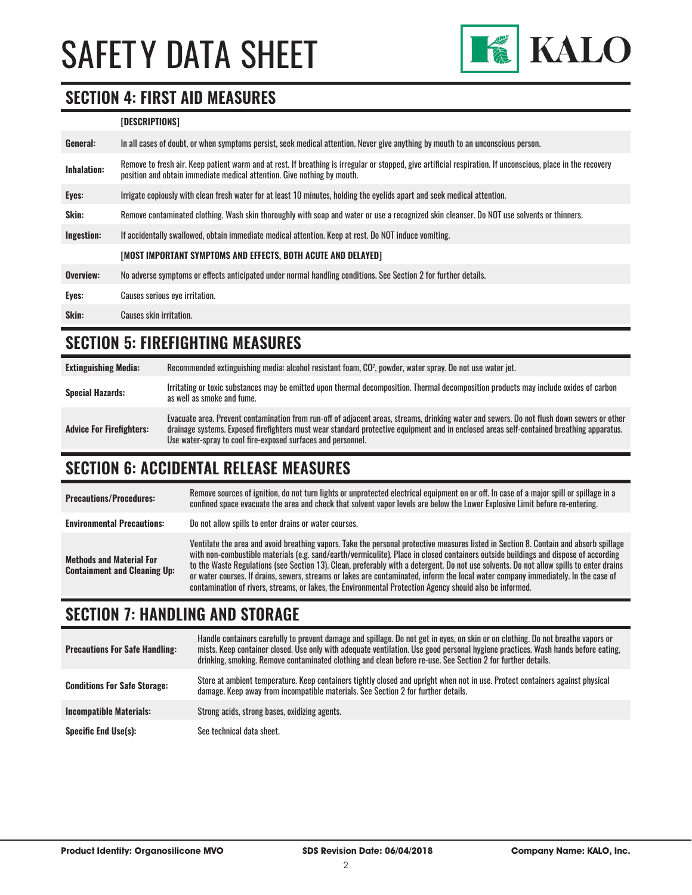

### **SECTION 4: FIRST AID MEASURES**

#### **[DESCRIPTIONS]**

| In all cases of doubt, or when symptoms persist, seek medical attention. Never give anything by mouth to an unconscious person.                                                                                                         |
|-----------------------------------------------------------------------------------------------------------------------------------------------------------------------------------------------------------------------------------------|
| Remove to fresh air. Keep patient warm and at rest. If breathing is irregular or stopped, give artificial respiration. If unconscious, place in the recovery<br>position and obtain immediate medical attention. Give nothing by mouth. |
| Irrigate copiously with clean fresh water for at least 10 minutes, holding the eyelids apart and seek medical attention.                                                                                                                |
| Remove contaminated clothing. Wash skin thoroughly with soap and water or use a recognized skin cleanser. Do NOT use solvents or thinners.                                                                                              |
| If accidentally swallowed, obtain immediate medical attention. Keep at rest. Do NOT induce vomiting.                                                                                                                                    |
| [MOST IMPORTANT SYMPTOMS AND EFFECTS, BOTH ACUTE AND DELAYED]                                                                                                                                                                           |
| No adverse symptoms or effects anticipated under normal handling conditions. See Section 2 for further details.                                                                                                                         |
| Causes serious eye irritation.                                                                                                                                                                                                          |
| Causes skin irritation.                                                                                                                                                                                                                 |
|                                                                                                                                                                                                                                         |

# **SECTION 5: FIREFIGHTING MEASURES**

**Extinguishing Media:** Recommended extinguishing media: alcohol resistant foam, CO2 , powder, water spray. Do not use water jet. **Special Hazards:** Irritating or toxic substances may be emitted upon thermal decomposition. Thermal decomposition products may include oxides of carbon **Special Hazards:** as well as smoke and fume. **Advice For Firefighters:** Evacuate area. Prevent contamination from run-off of adjacent areas, streams, drinking water and sewers. Do not flush down sewers or other drainage systems. Exposed firefighters must wear standard protective equipment and in enclosed areas self-contained breathing apparatus. Use water-spray to cool fire-exposed surfaces and personnel.

# **SECTION 6: ACCIDENTAL RELEASE MEASURES**

| <b>Precautions/Procedures:</b>                                         | Remove sources of ignition, do not turn lights or unprotected electrical equipment on or off. In case of a major spill or spillage in a<br>confined space evacuate the area and check that solvent vapor levels are below the Lower Explosive Limit before re-entering.                                                                                                                                                                                                                                                                                                                                                                                                   |
|------------------------------------------------------------------------|---------------------------------------------------------------------------------------------------------------------------------------------------------------------------------------------------------------------------------------------------------------------------------------------------------------------------------------------------------------------------------------------------------------------------------------------------------------------------------------------------------------------------------------------------------------------------------------------------------------------------------------------------------------------------|
| <b>Environmental Precautions:</b>                                      | Do not allow spills to enter drains or water courses.                                                                                                                                                                                                                                                                                                                                                                                                                                                                                                                                                                                                                     |
| <b>Methods and Material For</b><br><b>Containment and Cleaning Up:</b> | Ventilate the area and avoid breathing vapors. Take the personal protective measures listed in Section 8. Contain and absorb spillage<br>with non-combustible materials (e.g. sand/earth/vermiculite). Place in closed containers outside buildings and dispose of according<br>to the Waste Regulations (see Section 13). Clean, preferably with a detergent. Do not use solvents. Do not allow spills to enter drains<br>or water courses. If drains, sewers, streams or lakes are contaminated, inform the local water company immediately. In the case of<br>contamination of rivers, streams, or lakes, the Environmental Protection Agency should also be informed. |

# **SECTION 7: HANDLING AND STORAGE**

| <b>Precautions For Safe Handling:</b> | Handle containers carefully to prevent damage and spillage. Do not get in eyes, on skin or on clothing. Do not breathe vapors or<br>mists. Keep container closed. Use only with adequate ventilation. Use good personal hygiene practices. Wash hands before eating,<br>drinking, smoking. Remove contaminated clothing and clean before re-use. See Section 2 for further details. |
|---------------------------------------|-------------------------------------------------------------------------------------------------------------------------------------------------------------------------------------------------------------------------------------------------------------------------------------------------------------------------------------------------------------------------------------|
| <b>Conditions For Safe Storage:</b>   | Store at ambient temperature. Keep containers tightly closed and upright when not in use. Protect containers against physical<br>damage. Keep away from incompatible materials. See Section 2 for further details.                                                                                                                                                                  |
| <b>Incompatible Materials:</b>        | Strong acids, strong bases, oxidizing agents.                                                                                                                                                                                                                                                                                                                                       |
| <b>Specific End Use(s):</b>           | See technical data sheet.                                                                                                                                                                                                                                                                                                                                                           |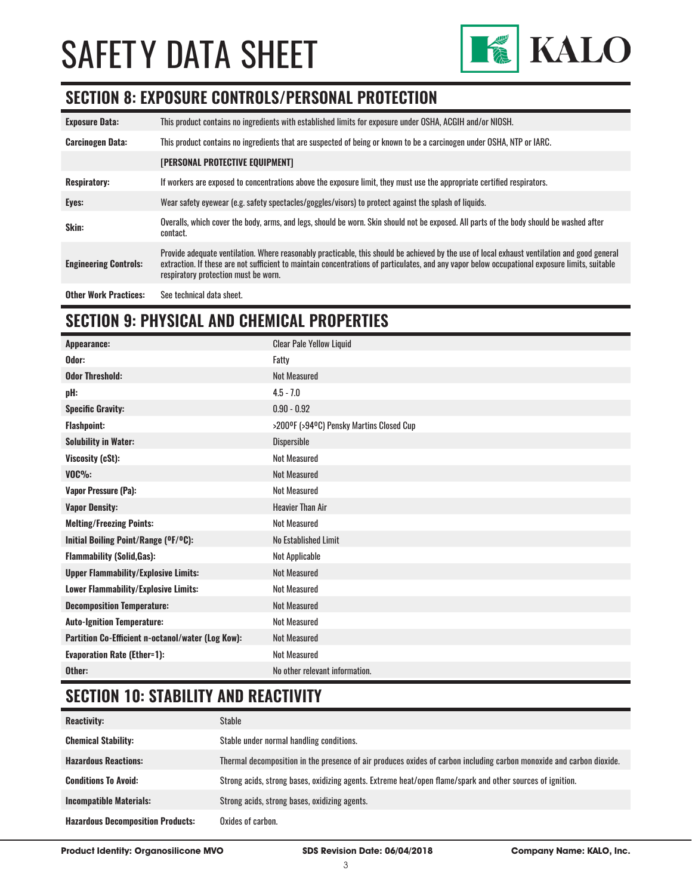

# **SECTION 8: EXPOSURE CONTROLS/PERSONAL PROTECTION**

| <b>Exposure Data:</b>        | This product contains no ingredients with established limits for exposure under OSHA, ACGIH and/or NIOSH.                                                                                                                                                                                                                              |
|------------------------------|----------------------------------------------------------------------------------------------------------------------------------------------------------------------------------------------------------------------------------------------------------------------------------------------------------------------------------------|
| <b>Carcinogen Data:</b>      | This product contains no ingredients that are suspected of being or known to be a carcinogen under OSHA, NTP or IARC.                                                                                                                                                                                                                  |
|                              | [PERSONAL PROTECTIVE EQUIPMENT]                                                                                                                                                                                                                                                                                                        |
| <b>Respiratory:</b>          | If workers are exposed to concentrations above the exposure limit, they must use the appropriate certified respirators.                                                                                                                                                                                                                |
| Eyes:                        | Wear safety eyewear (e.g. safety spectacles/goggles/visors) to protect against the splash of liquids.                                                                                                                                                                                                                                  |
| Skin:                        | Overalls, which cover the body, arms, and legs, should be worn. Skin should not be exposed. All parts of the body should be washed after<br>contact.                                                                                                                                                                                   |
| <b>Engineering Controls:</b> | Provide adequate ventilation. Where reasonably practicable, this should be achieved by the use of local exhaust ventilation and good general<br>extraction. If these are not sufficient to maintain concentrations of particulates, and any vapor below occupational exposure limits, suitable<br>respiratory protection must be worn. |
| <b>Other Work Practices:</b> | See technical data sheet.                                                                                                                                                                                                                                                                                                              |

# **SECTION 9: PHYSICAL AND CHEMICAL PROPERTIES**

| Appearance:                                       | <b>Clear Pale Yellow Liquid</b>          |
|---------------------------------------------------|------------------------------------------|
| Odor:                                             | Fatty                                    |
| <b>Odor Threshold:</b>                            | <b>Not Measured</b>                      |
| pH:                                               | $4.5 - 7.0$                              |
| <b>Specific Gravity:</b>                          | $0.90 - 0.92$                            |
| <b>Flashpoint:</b>                                | >200°F (>94°C) Pensky Martins Closed Cup |
| <b>Solubility in Water:</b>                       | Dispersible                              |
| Viscosity (cSt):                                  | <b>Not Measured</b>                      |
| $VOC\%$ :                                         | <b>Not Measured</b>                      |
| <b>Vapor Pressure (Pa):</b>                       | Not Measured                             |
| <b>Vapor Density:</b>                             | <b>Heavier Than Air</b>                  |
| <b>Melting/Freezing Points:</b>                   | <b>Not Measured</b>                      |
| Initial Boiling Point/Range (OF/OC):              | No Established Limit                     |
| <b>Flammability (Solid, Gas):</b>                 | Not Applicable                           |
| <b>Upper Flammability/Explosive Limits:</b>       | <b>Not Measured</b>                      |
| <b>Lower Flammability/Explosive Limits:</b>       | <b>Not Measured</b>                      |
| <b>Decomposition Temperature:</b>                 | <b>Not Measured</b>                      |
| <b>Auto-Ignition Temperature:</b>                 | <b>Not Measured</b>                      |
| Partition Co-Efficient n-octanol/water (Log Kow): | <b>Not Measured</b>                      |
| <b>Evaporation Rate (Ether=1):</b>                | <b>Not Measured</b>                      |
| Other:                                            | No other relevant information.           |

# **SECTION 10: STABILITY AND REACTIVITY**

| <b>Reactivity:</b>                       | Stable                                                                                                               |
|------------------------------------------|----------------------------------------------------------------------------------------------------------------------|
| <b>Chemical Stability:</b>               | Stable under normal handling conditions.                                                                             |
| <b>Hazardous Reactions:</b>              | Thermal decomposition in the presence of air produces oxides of carbon including carbon monoxide and carbon dioxide. |
| <b>Conditions To Avoid:</b>              | Strong acids, strong bases, oxidizing agents. Extreme heat/open flame/spark and other sources of ignition.           |
| <b>Incompatible Materials:</b>           | Strong acids, strong bases, oxidizing agents.                                                                        |
| <b>Hazardous Decomposition Products:</b> | Oxides of carbon.                                                                                                    |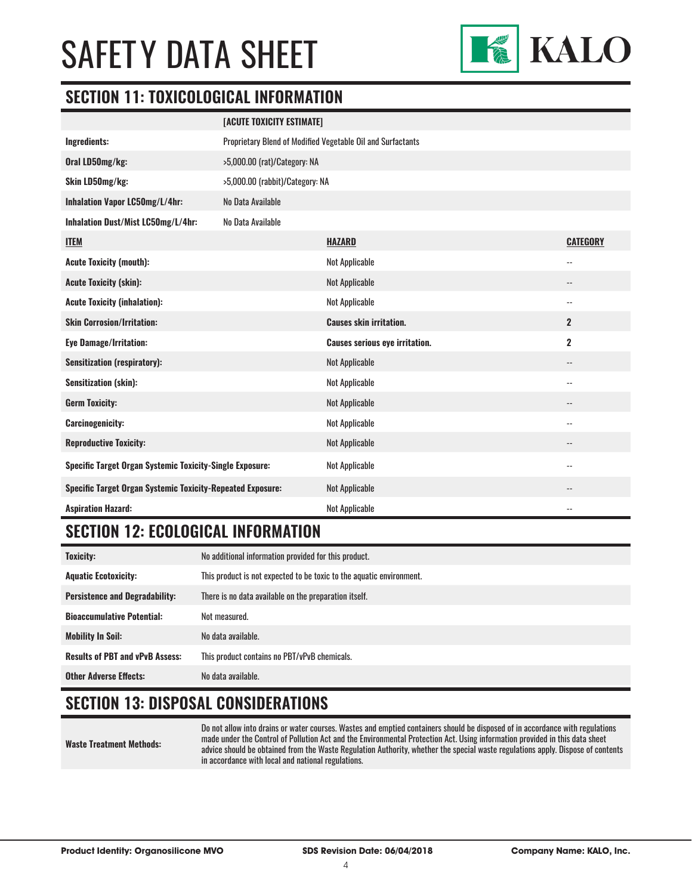

# **SECTION 11: TOXICOLOGICAL INFORMATION**

|                                                                   | [ACUTE TOXICITY ESTIMATE]                                   |                                       |                          |
|-------------------------------------------------------------------|-------------------------------------------------------------|---------------------------------------|--------------------------|
| Ingredients:                                                      | Proprietary Blend of Modified Vegetable Oil and Surfactants |                                       |                          |
| Oral LD50mg/kg:                                                   | >5,000.00 (rat)/Category: NA                                |                                       |                          |
| Skin LD50mg/kg:                                                   | >5,000.00 (rabbit)/Category: NA                             |                                       |                          |
| Inhalation Vapor LC50mg/L/4hr:                                    | No Data Available                                           |                                       |                          |
| Inhalation Dust/Mist LC50mg/L/4hr:                                | No Data Available                                           |                                       |                          |
| <b>ITEM</b>                                                       |                                                             | <b>HAZARD</b>                         | <b>CATEGORY</b>          |
| <b>Acute Toxicity (mouth):</b>                                    |                                                             | <b>Not Applicable</b>                 | $\overline{a}$           |
| <b>Acute Toxicity (skin):</b>                                     |                                                             | <b>Not Applicable</b>                 | $\overline{\phantom{a}}$ |
| <b>Acute Toxicity (inhalation):</b>                               |                                                             | <b>Not Applicable</b>                 | $-$                      |
| <b>Skin Corrosion/Irritation:</b>                                 |                                                             | <b>Causes skin irritation.</b>        | $\overline{2}$           |
| <b>Eye Damage/Irritation:</b>                                     |                                                             | <b>Causes serious eye irritation.</b> | $\overline{\mathbf{2}}$  |
| <b>Sensitization (respiratory):</b>                               |                                                             | <b>Not Applicable</b>                 | $-$                      |
| <b>Sensitization (skin):</b>                                      |                                                             | <b>Not Applicable</b>                 | $\overline{a}$           |
| <b>Germ Toxicity:</b>                                             |                                                             | <b>Not Applicable</b>                 | $-$                      |
| <b>Carcinogenicity:</b>                                           |                                                             | <b>Not Applicable</b>                 | $-$                      |
| <b>Reproductive Toxicity:</b>                                     |                                                             | <b>Not Applicable</b>                 | --                       |
| <b>Specific Target Organ Systemic Toxicity-Single Exposure:</b>   |                                                             | Not Applicable                        | $-$                      |
| <b>Specific Target Organ Systemic Toxicity-Repeated Exposure:</b> |                                                             | <b>Not Applicable</b>                 | --                       |
| <b>Aspiration Hazard:</b>                                         |                                                             | <b>Not Applicable</b>                 | $-$                      |

# **SECTION 12: ECOLOGICAL INFORMATION**

| <b>Toxicity:</b>                       | No additional information provided for this product.                 |
|----------------------------------------|----------------------------------------------------------------------|
| <b>Aquatic Ecotoxicity:</b>            | This product is not expected to be toxic to the aquatic environment. |
| <b>Persistence and Degradability:</b>  | There is no data available on the preparation itself.                |
| <b>Bioaccumulative Potential:</b>      | Not measured.                                                        |
| <b>Mobility In Soil:</b>               | No data available.                                                   |
| <b>Results of PBT and vPvB Assess:</b> | This product contains no PBT/vPvB chemicals.                         |
| <b>Other Adverse Effects:</b>          | No data available.                                                   |

# **SECTION 13: DISPOSAL CONSIDERATIONS**

**Waste Treatment Methods:**

Do not allow into drains or water courses. Wastes and emptied containers should be disposed of in accordance with regulations made under the Control of Pollution Act and the Environmental Protection Act. Using information provided in this data sheet advice should be obtained from the Waste Regulation Authority, whether the special waste regulations apply. Dispose of contents in accordance with local and national regulations.